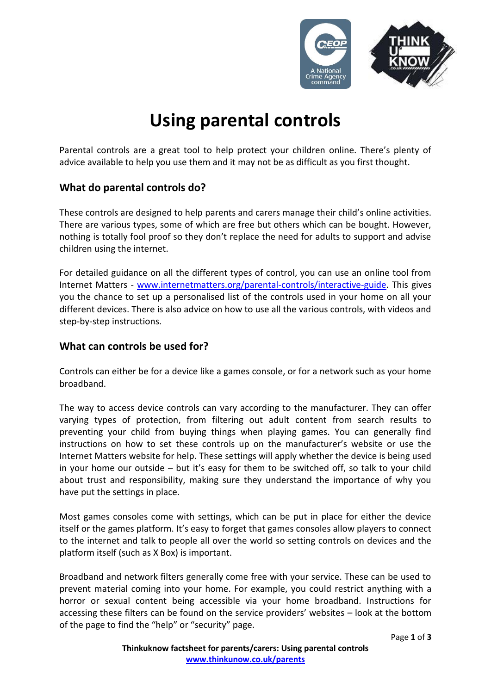

# **Using parental controls**

Parental controls are a great tool to help protect your children online. There's plenty of advice available to help you use them and it may not be as difficult as you first thought.

# **What do parental controls do?**

These controls are designed to help parents and carers manage their child's online activities. There are various types, some of which are free but others which can be bought. However, nothing is totally fool proof so they don't replace the need for adults to support and advise children using the internet.

For detailed guidance on all the different types of control, you can use an online tool from Internet Matters - [www.internetmatters.org/parental-controls/interactive-guide.](http://www.internetmatters.org/parental-controls/interactive-guide) This gives you the chance to set up a personalised list of the controls used in your home on all your different devices. There is also advice on how to use all the various controls, with videos and step-by-step instructions.

## **What can controls be used for?**

Controls can either be for a device like a games console, or for a network such as your home broadband.

The way to access device controls can vary according to the manufacturer. They can offer varying types of protection, from filtering out adult content from search results to preventing your child from buying things when playing games. You can generally find instructions on how to set these controls up on the manufacturer's website or use the Internet Matters website for help. These settings will apply whether the device is being used in your home our outside – but it's easy for them to be switched off, so talk to your child about trust and responsibility, making sure they understand the importance of why you have put the settings in place.

Most games consoles come with settings, which can be put in place for either the device itself or the games platform. It's easy to forget that games consoles allow players to connect to the internet and talk to people all over the world so setting controls on devices and the platform itself (such as X Box) is important.

Broadband and network filters generally come free with your service. These can be used to prevent material coming into your home. For example, you could restrict anything with a horror or sexual content being accessible via your home broadband. Instructions for accessing these filters can be found on the service providers' websites – look at the bottom of the page to find the "help" or "security" page.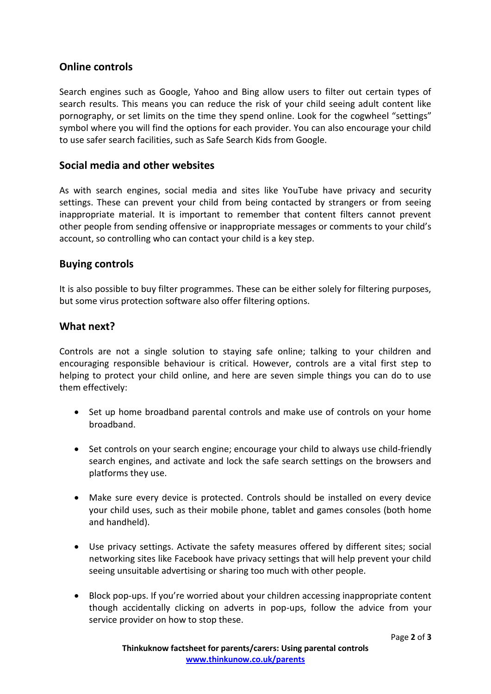## **Online controls**

Search engines such as Google, Yahoo and Bing allow users to filter out certain types of search results. This means you can reduce the risk of your child seeing adult content like pornography, or set limits on the time they spend online. Look for the cogwheel "settings" symbol where you will find the options for each provider. You can also encourage your child to use safer search facilities, such as Safe Search Kids from Google.

## **Social media and other websites**

As with search engines, social media and sites like YouTube have privacy and security settings. These can prevent your child from being contacted by strangers or from seeing inappropriate material. It is important to remember that content filters cannot prevent other people from sending offensive or inappropriate messages or comments to your child's account, so controlling who can contact your child is a key step.

### **Buying controls**

It is also possible to buy filter programmes. These can be either solely for filtering purposes, but some virus protection software also offer filtering options.

### **What next?**

Controls are not a single solution to staying safe online; talking to your children and encouraging responsible behaviour is critical. However, controls are a vital first step to helping to protect your child online, and here are seven simple things you can do to use them effectively:

- Set up home broadband parental controls and make use of controls on your home broadband.
- Set controls on your search engine; encourage your child to always use child-friendly search engines, and activate and lock the safe search settings on the browsers and platforms they use.
- Make sure every device is protected. Controls should be installed on every device your child uses, such as their mobile phone, tablet and games consoles (both home and handheld).
- Use privacy settings. Activate the safety measures offered by different sites; social networking sites like Facebook have privacy settings that will help prevent your child seeing unsuitable advertising or sharing too much with other people.
- Block pop-ups. If you're worried about your children accessing inappropriate content though accidentally clicking on adverts in pop-ups, follow the advice from your service provider on how to stop these.